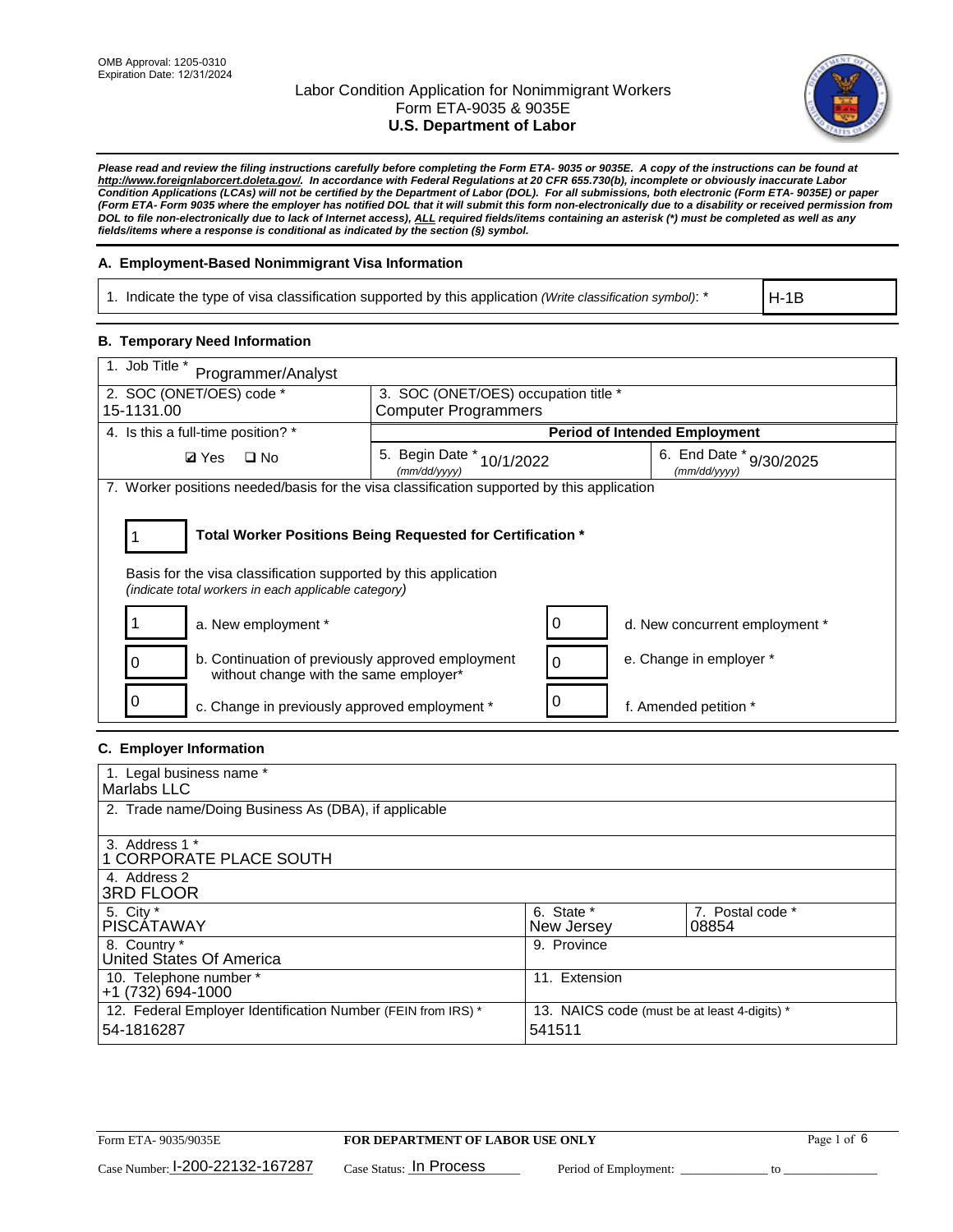

*Please read and review the filing instructions carefully before completing the Form ETA- 9035 or 9035E. A copy of the instructions can be found at http://www.foreignlaborcert.doleta.gov/. In accordance with Federal Regulations at 20 CFR 655.730(b), incomplete or obviously inaccurate Labor Condition Applications (LCAs) will not be certified by the Department of Labor (DOL). For all submissions, both electronic (Form ETA- 9035E) or paper (Form ETA- Form 9035 where the employer has notified DOL that it will submit this form non-electronically due to a disability or received permission from DOL to file non-electronically due to lack of Internet access), ALL required fields/items containing an asterisk (\*) must be completed as well as any fields/items where a response is conditional as indicated by the section (§) symbol.* 

### **A. Employment-Based Nonimmigrant Visa Information**

1. Indicate the type of visa classification supported by this application *(Write classification symbol)*: \*

H-1B

### **B. Temporary Need Information**

| 1. Job Title *<br>Programmer/Analyst                                                                                                                                                  |                                              |   |                                         |  |  |
|---------------------------------------------------------------------------------------------------------------------------------------------------------------------------------------|----------------------------------------------|---|-----------------------------------------|--|--|
| 2. SOC (ONET/OES) code *                                                                                                                                                              | 3. SOC (ONET/OES) occupation title *         |   |                                         |  |  |
| 15-1131.00                                                                                                                                                                            | <b>Computer Programmers</b>                  |   |                                         |  |  |
| 4. Is this a full-time position? *                                                                                                                                                    |                                              |   | <b>Period of Intended Employment</b>    |  |  |
| $\Box$ No<br><b>Ø</b> Yes                                                                                                                                                             | 5. Begin Date *<br>10/1/2022<br>(mm/dd/yyyy) |   | 6. End Date * 9/30/2025<br>(mm/dd/vvvv) |  |  |
| 7. Worker positions needed/basis for the visa classification supported by this application                                                                                            |                                              |   |                                         |  |  |
| Total Worker Positions Being Requested for Certification *<br>Basis for the visa classification supported by this application<br>(indicate total workers in each applicable category) |                                              |   |                                         |  |  |
| a. New employment *                                                                                                                                                                   |                                              | 0 | d. New concurrent employment *          |  |  |
| b. Continuation of previously approved employment<br>without change with the same employer*                                                                                           |                                              | 0 | e. Change in employer *                 |  |  |
| c. Change in previously approved employment *                                                                                                                                         |                                              |   | f. Amended petition *                   |  |  |

### **C. Employer Information**

| 1. Legal business name *                                     |                                              |                  |
|--------------------------------------------------------------|----------------------------------------------|------------------|
| Marlabs LLC                                                  |                                              |                  |
| 2. Trade name/Doing Business As (DBA), if applicable         |                                              |                  |
|                                                              |                                              |                  |
| 3. Address 1 *                                               |                                              |                  |
| 1 CORPORATE PLACE SOUTH                                      |                                              |                  |
| 4. Address 2                                                 |                                              |                  |
| <b>3RD FLOOR</b>                                             |                                              |                  |
| 5. City *                                                    | 6. State *                                   | 7. Postal code * |
| PISCÁTAWAY                                                   | New Jersey                                   | 08854            |
| 8. Country *                                                 | 9. Province                                  |                  |
| United States Of America                                     |                                              |                  |
| 10. Telephone number *                                       | 11. Extension                                |                  |
| $+1(732)694-1000$                                            |                                              |                  |
| 12. Federal Employer Identification Number (FEIN from IRS) * | 13. NAICS code (must be at least 4-digits) * |                  |
| 54-1816287                                                   | 541511                                       |                  |
|                                                              |                                              |                  |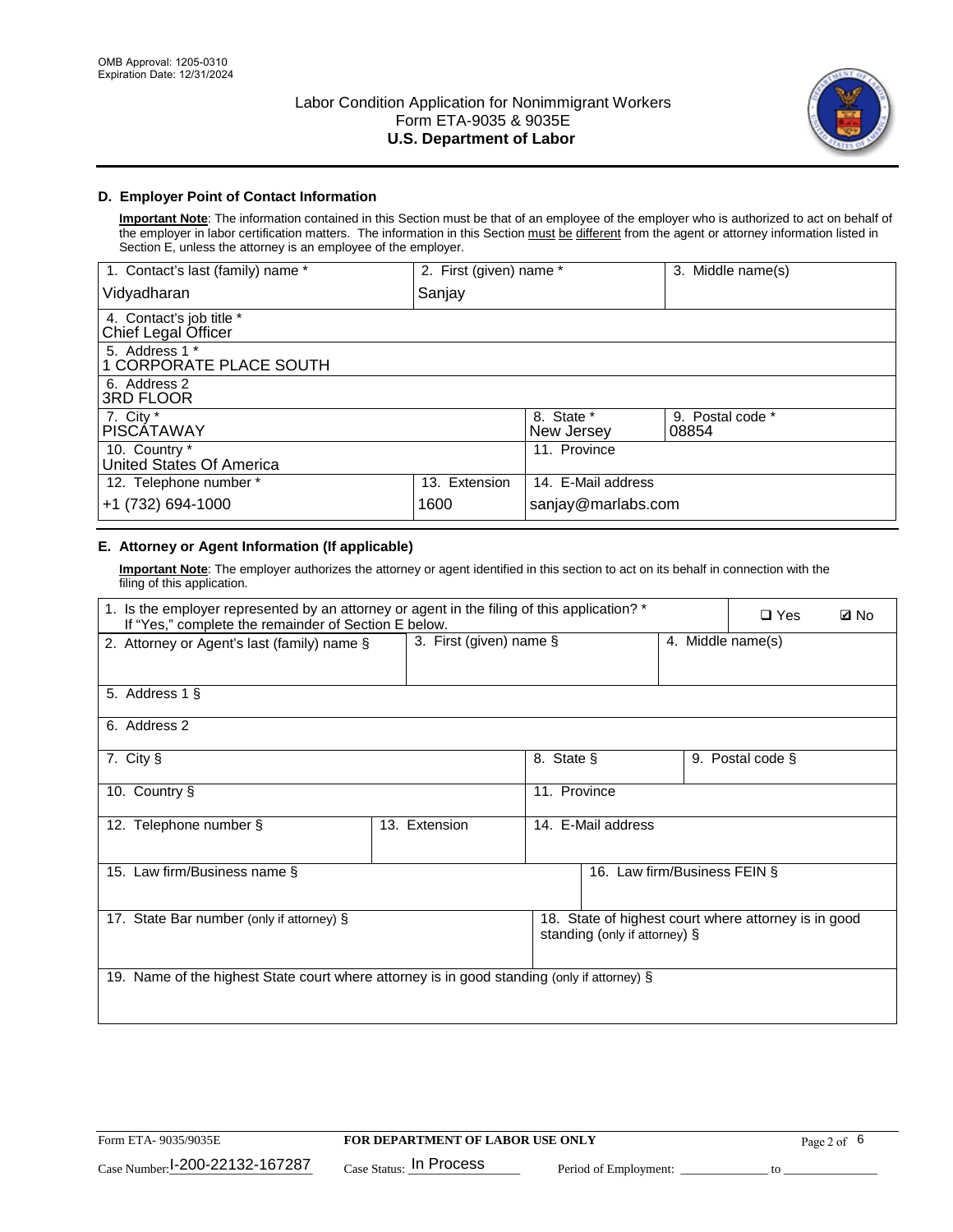

### **D. Employer Point of Contact Information**

**Important Note**: The information contained in this Section must be that of an employee of the employer who is authorized to act on behalf of the employer in labor certification matters. The information in this Section must be different from the agent or attorney information listed in Section E, unless the attorney is an employee of the employer.

| 1. Contact's last (family) name *               | 2. First (given) name * |                          | 3. Middle name(s)         |
|-------------------------------------------------|-------------------------|--------------------------|---------------------------|
| Vidyadharan                                     | Sanjay                  |                          |                           |
| 4. Contact's job title *<br>Chief Legal Officer |                         |                          |                           |
| 5. Address 1 *<br>1 CORPORATE PLACE SOUTH       |                         |                          |                           |
| 6. Address 2<br>3RD FLOOR                       |                         |                          |                           |
| 7. City $*$<br><b>PISCÁTAWAY</b>                |                         | 8. State *<br>New Jersey | 9. Postal code *<br>08854 |
| 10. Country *<br>United States Of America       |                         | 11. Province             |                           |
| 12. Telephone number *                          | 13. Extension           | 14. E-Mail address       |                           |
| +1 (732) 694-1000                               | 1600                    | sanjay@marlabs.com       |                           |

# **E. Attorney or Agent Information (If applicable)**

**Important Note**: The employer authorizes the attorney or agent identified in this section to act on its behalf in connection with the filing of this application.

| 1. Is the employer represented by an attorney or agent in the filing of this application? *<br>If "Yes," complete the remainder of Section E below. |                            |              |                               |                   | $\Box$ Yes                                           | <b>Ø</b> No |
|-----------------------------------------------------------------------------------------------------------------------------------------------------|----------------------------|--------------|-------------------------------|-------------------|------------------------------------------------------|-------------|
| 2. Attorney or Agent's last (family) name §                                                                                                         | 3. First (given) name $\S$ |              |                               | 4. Middle name(s) |                                                      |             |
| 5. Address 1 §                                                                                                                                      |                            |              |                               |                   |                                                      |             |
| 6. Address 2                                                                                                                                        |                            |              |                               |                   |                                                      |             |
| 7. City §                                                                                                                                           |                            | 8. State §   |                               |                   | 9. Postal code §                                     |             |
| 10. Country §                                                                                                                                       |                            | 11. Province |                               |                   |                                                      |             |
| 12. Telephone number §                                                                                                                              | 13. Extension              |              | 14. E-Mail address            |                   |                                                      |             |
| 15. Law firm/Business name §                                                                                                                        |                            |              | 16. Law firm/Business FEIN §  |                   |                                                      |             |
| 17. State Bar number (only if attorney) §                                                                                                           |                            |              | standing (only if attorney) § |                   | 18. State of highest court where attorney is in good |             |
| 19. Name of the highest State court where attorney is in good standing (only if attorney) §                                                         |                            |              |                               |                   |                                                      |             |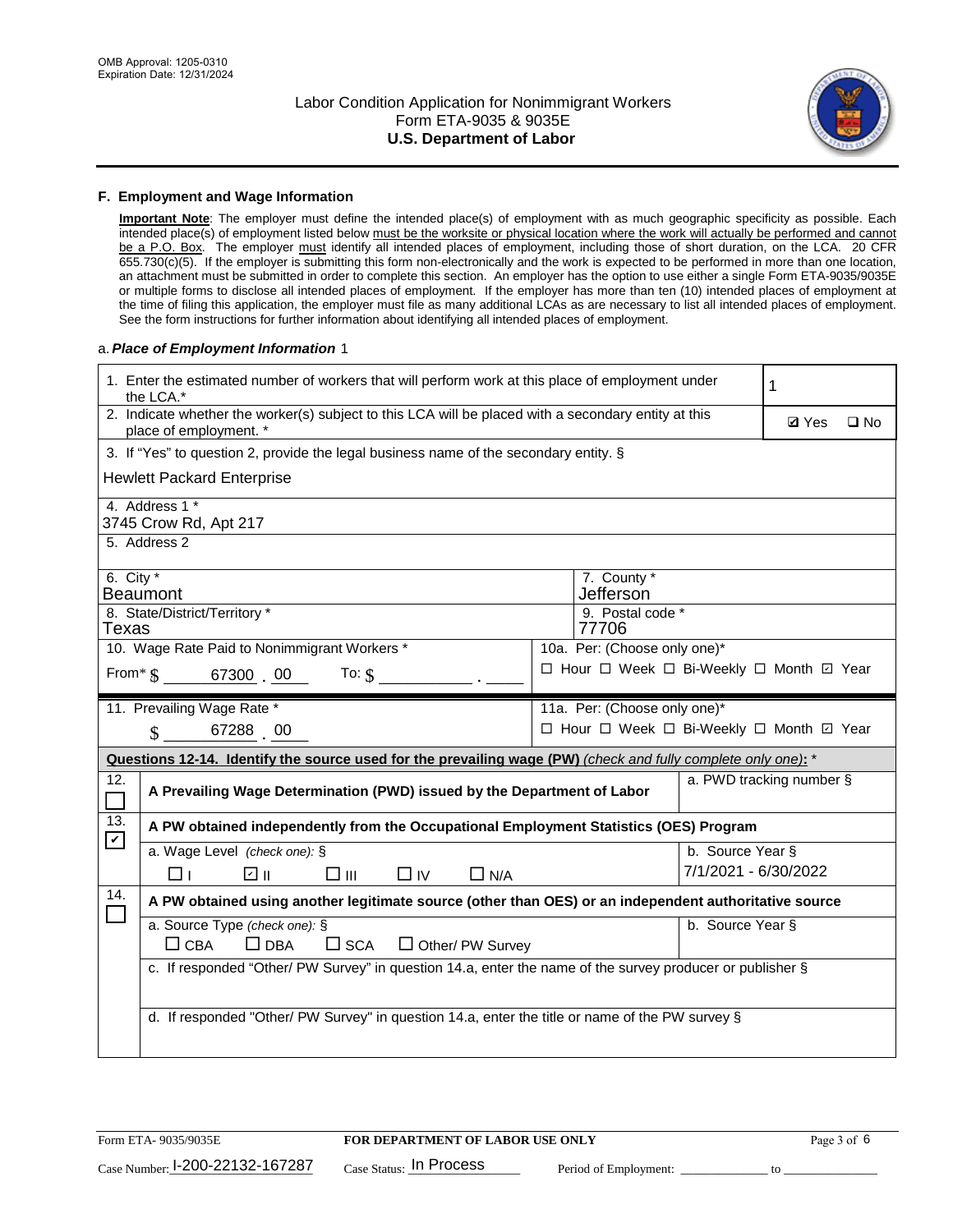

#### **F. Employment and Wage Information**

**Important Note**: The employer must define the intended place(s) of employment with as much geographic specificity as possible. Each intended place(s) of employment listed below must be the worksite or physical location where the work will actually be performed and cannot be a P.O. Box. The employer must identify all intended places of employment, including those of short duration, on the LCA. 20 CFR 655.730(c)(5). If the employer is submitting this form non-electronically and the work is expected to be performed in more than one location, an attachment must be submitted in order to complete this section. An employer has the option to use either a single Form ETA-9035/9035E or multiple forms to disclose all intended places of employment. If the employer has more than ten (10) intended places of employment at the time of filing this application, the employer must file as many additional LCAs as are necessary to list all intended places of employment. See the form instructions for further information about identifying all intended places of employment.

#### a.*Place of Employment Information* 1

|                                                                                    | 1. Enter the estimated number of workers that will perform work at this place of employment under<br>the LCA.*                 |  |                                          |                          |              |              |
|------------------------------------------------------------------------------------|--------------------------------------------------------------------------------------------------------------------------------|--|------------------------------------------|--------------------------|--------------|--------------|
|                                                                                    | 2. Indicate whether the worker(s) subject to this LCA will be placed with a secondary entity at this<br>place of employment. * |  |                                          |                          | <b>Ø</b> Yes | $\square$ No |
|                                                                                    | 3. If "Yes" to question 2, provide the legal business name of the secondary entity. §                                          |  |                                          |                          |              |              |
|                                                                                    | <b>Hewlett Packard Enterprise</b>                                                                                              |  |                                          |                          |              |              |
|                                                                                    | 4. Address 1 *<br>3745 Crow Rd, Apt 217                                                                                        |  |                                          |                          |              |              |
|                                                                                    | 5. Address 2                                                                                                                   |  |                                          |                          |              |              |
|                                                                                    | 6. City $*$<br>7. County *<br>Jefferson<br><b>Beaumont</b>                                                                     |  |                                          |                          |              |              |
| 8. State/District/Territory *<br>9. Postal code *<br>77706<br>Texas                |                                                                                                                                |  |                                          |                          |              |              |
| 10. Wage Rate Paid to Nonimmigrant Workers *<br>10a. Per: (Choose only one)*       |                                                                                                                                |  |                                          |                          |              |              |
| □ Hour □ Week □ Bi-Weekly □ Month ☑ Year<br>From $\frac{1}{5}$ 67300 00<br>To: $$$ |                                                                                                                                |  |                                          |                          |              |              |
|                                                                                    | 11. Prevailing Wage Rate *                                                                                                     |  | 11a. Per: (Choose only one)*             |                          |              |              |
|                                                                                    | $\sin 67288$ 00                                                                                                                |  | □ Hour □ Week □ Bi-Weekly □ Month ☑ Year |                          |              |              |
|                                                                                    | Questions 12-14. Identify the source used for the prevailing wage (PW) (check and fully complete only one): *                  |  |                                          |                          |              |              |
| 12.<br>$\Box$                                                                      | A Prevailing Wage Determination (PWD) issued by the Department of Labor                                                        |  |                                          | a. PWD tracking number § |              |              |
| 13.<br>$\boldsymbol{\mathcal{V}}$                                                  | A PW obtained independently from the Occupational Employment Statistics (OES) Program                                          |  |                                          |                          |              |              |
|                                                                                    | a. Wage Level (check one): §                                                                                                   |  |                                          | b. Source Year §         |              |              |
|                                                                                    | பெ<br>□⊪<br>$\Box$ N/A<br>□⊥<br>$\Box$ IV                                                                                      |  |                                          | 7/1/2021 - 6/30/2022     |              |              |
| 14.                                                                                | A PW obtained using another legitimate source (other than OES) or an independent authoritative source                          |  |                                          |                          |              |              |
|                                                                                    | a. Source Type (check one): §<br>$\Box$ CBA<br>$\Box$ DBA<br>$\square$ SCA<br>$\Box$ Other/ PW Survey                          |  |                                          | b. Source Year §         |              |              |
|                                                                                    | c. If responded "Other/ PW Survey" in question 14.a, enter the name of the survey producer or publisher §                      |  |                                          |                          |              |              |
|                                                                                    |                                                                                                                                |  |                                          |                          |              |              |
|                                                                                    | d. If responded "Other/ PW Survey" in question 14.a, enter the title or name of the PW survey §                                |  |                                          |                          |              |              |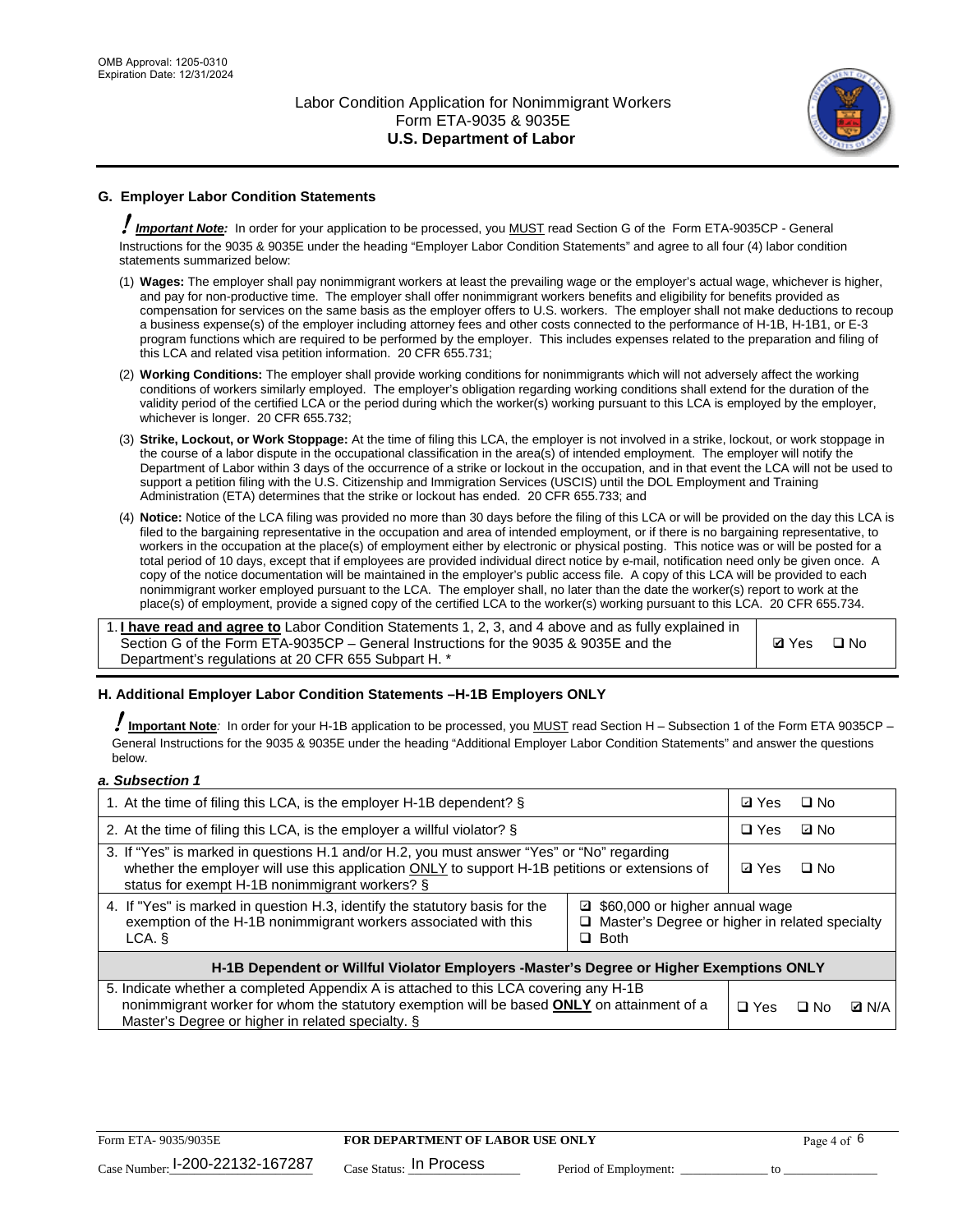

# **G. Employer Labor Condition Statements**

! *Important Note:* In order for your application to be processed, you MUST read Section G of the Form ETA-9035CP - General Instructions for the 9035 & 9035E under the heading "Employer Labor Condition Statements" and agree to all four (4) labor condition statements summarized below:

- (1) **Wages:** The employer shall pay nonimmigrant workers at least the prevailing wage or the employer's actual wage, whichever is higher, and pay for non-productive time. The employer shall offer nonimmigrant workers benefits and eligibility for benefits provided as compensation for services on the same basis as the employer offers to U.S. workers. The employer shall not make deductions to recoup a business expense(s) of the employer including attorney fees and other costs connected to the performance of H-1B, H-1B1, or E-3 program functions which are required to be performed by the employer. This includes expenses related to the preparation and filing of this LCA and related visa petition information. 20 CFR 655.731;
- (2) **Working Conditions:** The employer shall provide working conditions for nonimmigrants which will not adversely affect the working conditions of workers similarly employed. The employer's obligation regarding working conditions shall extend for the duration of the validity period of the certified LCA or the period during which the worker(s) working pursuant to this LCA is employed by the employer, whichever is longer. 20 CFR 655.732;
- (3) **Strike, Lockout, or Work Stoppage:** At the time of filing this LCA, the employer is not involved in a strike, lockout, or work stoppage in the course of a labor dispute in the occupational classification in the area(s) of intended employment. The employer will notify the Department of Labor within 3 days of the occurrence of a strike or lockout in the occupation, and in that event the LCA will not be used to support a petition filing with the U.S. Citizenship and Immigration Services (USCIS) until the DOL Employment and Training Administration (ETA) determines that the strike or lockout has ended. 20 CFR 655.733; and
- (4) **Notice:** Notice of the LCA filing was provided no more than 30 days before the filing of this LCA or will be provided on the day this LCA is filed to the bargaining representative in the occupation and area of intended employment, or if there is no bargaining representative, to workers in the occupation at the place(s) of employment either by electronic or physical posting. This notice was or will be posted for a total period of 10 days, except that if employees are provided individual direct notice by e-mail, notification need only be given once. A copy of the notice documentation will be maintained in the employer's public access file. A copy of this LCA will be provided to each nonimmigrant worker employed pursuant to the LCA. The employer shall, no later than the date the worker(s) report to work at the place(s) of employment, provide a signed copy of the certified LCA to the worker(s) working pursuant to this LCA. 20 CFR 655.734.

1. **I have read and agree to** Labor Condition Statements 1, 2, 3, and 4 above and as fully explained in Section G of the Form ETA-9035CP – General Instructions for the 9035 & 9035E and the Department's regulations at 20 CFR 655 Subpart H. \*

**Ø**Yes ロNo

#### **H. Additional Employer Labor Condition Statements –H-1B Employers ONLY**

!**Important Note***:* In order for your H-1B application to be processed, you MUST read Section H – Subsection 1 of the Form ETA 9035CP – General Instructions for the 9035 & 9035E under the heading "Additional Employer Labor Condition Statements" and answer the questions below.

#### *a. Subsection 1*

| 1. At the time of filing this LCA, is the employer H-1B dependent? §                                                                                                                                                                                               |  |  | $\Box$ No |              |
|--------------------------------------------------------------------------------------------------------------------------------------------------------------------------------------------------------------------------------------------------------------------|--|--|-----------|--------------|
| 2. At the time of filing this LCA, is the employer a willful violator? $\S$                                                                                                                                                                                        |  |  | ⊡ No      |              |
| 3. If "Yes" is marked in questions H.1 and/or H.2, you must answer "Yes" or "No" regarding<br>whether the employer will use this application ONLY to support H-1B petitions or extensions of<br>status for exempt H-1B nonimmigrant workers? §                     |  |  | $\Box$ No |              |
| 4. If "Yes" is marked in question H.3, identify the statutory basis for the<br>□ \$60,000 or higher annual wage<br>exemption of the H-1B nonimmigrant workers associated with this<br>$\Box$ Master's Degree or higher in related specialty<br>$\Box$ Both<br>LCA. |  |  |           |              |
| H-1B Dependent or Willful Violator Employers -Master's Degree or Higher Exemptions ONLY                                                                                                                                                                            |  |  |           |              |
| 5. Indicate whether a completed Appendix A is attached to this LCA covering any H-1B<br>nonimmigrant worker for whom the statutory exemption will be based <b>ONLY</b> on attainment of a<br>Master's Degree or higher in related specialty. §                     |  |  | ⊡ No      | <b>D</b> N/A |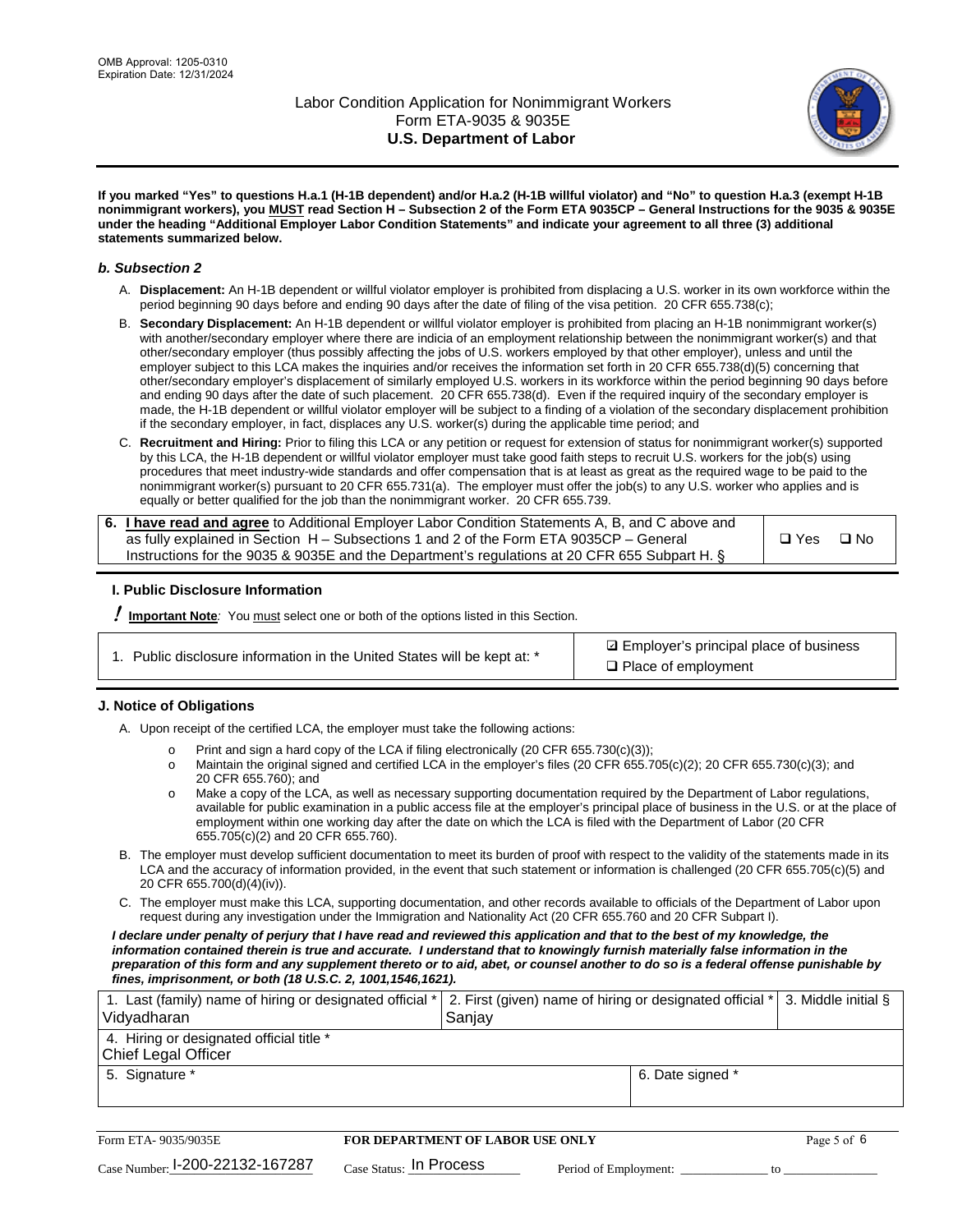

**If you marked "Yes" to questions H.a.1 (H-1B dependent) and/or H.a.2 (H-1B willful violator) and "No" to question H.a.3 (exempt H-1B nonimmigrant workers), you MUST read Section H – Subsection 2 of the Form ETA 9035CP – General Instructions for the 9035 & 9035E under the heading "Additional Employer Labor Condition Statements" and indicate your agreement to all three (3) additional statements summarized below.**

#### *b. Subsection 2*

- A. **Displacement:** An H-1B dependent or willful violator employer is prohibited from displacing a U.S. worker in its own workforce within the period beginning 90 days before and ending 90 days after the date of filing of the visa petition. 20 CFR 655.738(c);
- B. **Secondary Displacement:** An H-1B dependent or willful violator employer is prohibited from placing an H-1B nonimmigrant worker(s) with another/secondary employer where there are indicia of an employment relationship between the nonimmigrant worker(s) and that other/secondary employer (thus possibly affecting the jobs of U.S. workers employed by that other employer), unless and until the employer subject to this LCA makes the inquiries and/or receives the information set forth in 20 CFR 655.738(d)(5) concerning that other/secondary employer's displacement of similarly employed U.S. workers in its workforce within the period beginning 90 days before and ending 90 days after the date of such placement. 20 CFR 655.738(d). Even if the required inquiry of the secondary employer is made, the H-1B dependent or willful violator employer will be subject to a finding of a violation of the secondary displacement prohibition if the secondary employer, in fact, displaces any U.S. worker(s) during the applicable time period; and
- C. **Recruitment and Hiring:** Prior to filing this LCA or any petition or request for extension of status for nonimmigrant worker(s) supported by this LCA, the H-1B dependent or willful violator employer must take good faith steps to recruit U.S. workers for the job(s) using procedures that meet industry-wide standards and offer compensation that is at least as great as the required wage to be paid to the nonimmigrant worker(s) pursuant to 20 CFR 655.731(a). The employer must offer the job(s) to any U.S. worker who applies and is equally or better qualified for the job than the nonimmigrant worker. 20 CFR 655.739.

| 6. I have read and agree to Additional Employer Labor Condition Statements A, B, and C above and |       |           |
|--------------------------------------------------------------------------------------------------|-------|-----------|
| as fully explained in Section H – Subsections 1 and 2 of the Form ETA 9035CP – General           | □ Yes | $\Box$ No |
| Instructions for the 9035 & 9035E and the Department's regulations at 20 CFR 655 Subpart H. §    |       |           |

#### **I. Public Disclosure Information**

! **Important Note***:* You must select one or both of the options listed in this Section.

| 1. Public disclosure information in the United States will be kept at: * |  |  |  |  |  |  |  |
|--------------------------------------------------------------------------|--|--|--|--|--|--|--|
|--------------------------------------------------------------------------|--|--|--|--|--|--|--|

**sqrt** Employer's principal place of business □ Place of employment

#### **J. Notice of Obligations**

A. Upon receipt of the certified LCA, the employer must take the following actions:

- o Print and sign a hard copy of the LCA if filing electronically (20 CFR 655.730(c)(3));<br>
Maintain the original signed and certified LCA in the employer's files (20 CFR 655.7
- Maintain the original signed and certified LCA in the employer's files (20 CFR 655.705(c)(2); 20 CFR 655.730(c)(3); and 20 CFR 655.760); and
- o Make a copy of the LCA, as well as necessary supporting documentation required by the Department of Labor regulations, available for public examination in a public access file at the employer's principal place of business in the U.S. or at the place of employment within one working day after the date on which the LCA is filed with the Department of Labor (20 CFR 655.705(c)(2) and 20 CFR 655.760).
- B. The employer must develop sufficient documentation to meet its burden of proof with respect to the validity of the statements made in its LCA and the accuracy of information provided, in the event that such statement or information is challenged (20 CFR 655.705(c)(5) and 20 CFR 655.700(d)(4)(iv)).
- C. The employer must make this LCA, supporting documentation, and other records available to officials of the Department of Labor upon request during any investigation under the Immigration and Nationality Act (20 CFR 655.760 and 20 CFR Subpart I).

*I declare under penalty of perjury that I have read and reviewed this application and that to the best of my knowledge, the*  information contained therein is true and accurate. I understand that to knowingly furnish materially false information in the *preparation of this form and any supplement thereto or to aid, abet, or counsel another to do so is a federal offense punishable by fines, imprisonment, or both (18 U.S.C. 2, 1001,1546,1621).*

| 1. Last (family) name of hiring or designated official *   2. First (given) name of hiring or designated official *   3. Middle initial §<br>Vidyadharan | Saniav           |  |
|----------------------------------------------------------------------------------------------------------------------------------------------------------|------------------|--|
| 4. Hiring or designated official title *<br>Chief Legal Officer                                                                                          |                  |  |
| 5. Signature *                                                                                                                                           | 6. Date signed * |  |

| Form ETA-9035/9035E                         | <b>FOR DEPARTMENT OF LABOR USE ONLY</b> | Page 5 of 6           |  |
|---------------------------------------------|-----------------------------------------|-----------------------|--|
| $_{\text{Case Number:}}$ I-200-22132-167287 | $_{\rm Case~S status:}$ In Process      | Period of Employment: |  |